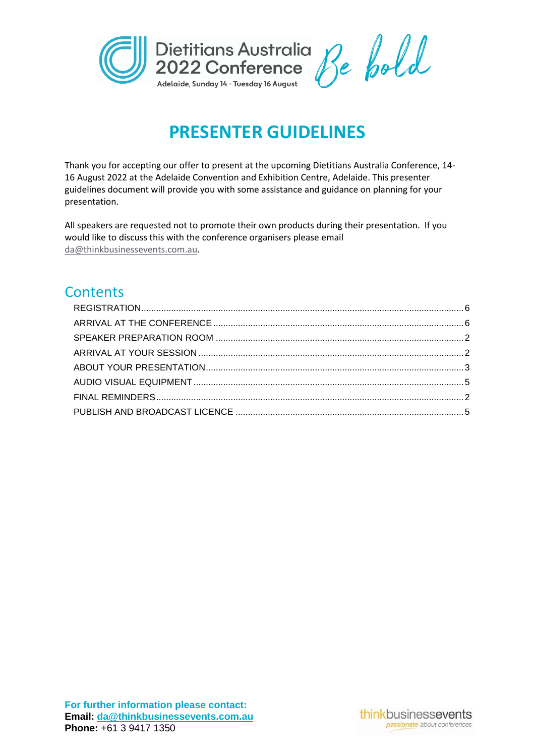

# **PRESENTER GUIDELINES**

Thank you for accepting our offer to present at the upcoming Dietitians Australia Conference, 14- 16 August 2022 at the Adelaide Convention and Exhibition Centre, Adelaide. This presenter guidelines document will provide you with some assistance and guidance on planning for your presentation.

All speakers are requested not to promote their own products during their presentation. If you would like to discuss this with the conference organisers please email [da@thinkbusinessevents.com.au.](mailto:da@thinkbusinessevents.com.au)

# **Contents**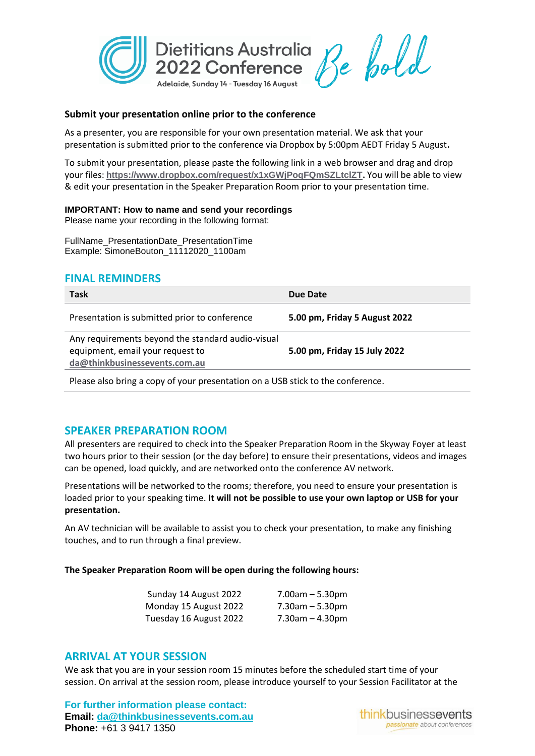

#### **Submit your presentation online prior to the conference**

As a presenter, you are responsible for your own presentation material. We ask that your presentation is submitted prior to the conference via Dropbox by 5:00pm AEDT Friday 5 August**.**

To submit your presentation, please paste the following link in a web browser and drag and drop your files: **<https://www.dropbox.com/request/x1xGWjPoqFQmSZLtclZT>.** You will be able to view & edit your presentation in the Speaker Preparation Room prior to your presentation time.

#### **IMPORTANT: How to name and send your recordings**

Please name your recording in the following format:

FullName\_PresentationDate\_PresentationTime Example: SimoneBouton\_11112020\_1100am

## <span id="page-1-2"></span>**FINAL REMINDERS**

| <b>Task</b>                                                                                                            | Due Date                      |
|------------------------------------------------------------------------------------------------------------------------|-------------------------------|
| Presentation is submitted prior to conference                                                                          | 5.00 pm, Friday 5 August 2022 |
| Any requirements beyond the standard audio-visual<br>equipment, email your request to<br>da@thinkbusinessevents.com.au | 5.00 pm, Friday 15 July 2022  |
|                                                                                                                        |                               |

Please also bring a copy of your presentation on a USB stick to the conference.

# <span id="page-1-0"></span>**SPEAKER PREPARATION ROOM**

All presenters are required to check into the Speaker Preparation Room in the Skyway Foyer at least two hours prior to their session (or the day before) to ensure their presentations, videos and images can be opened, load quickly, and are networked onto the conference AV network.

Presentations will be networked to the rooms; therefore, you need to ensure your presentation is loaded prior to your speaking time. **It will not be possible to use your own laptop or USB for your presentation.** 

An AV technician will be available to assist you to check your presentation, to make any finishing touches, and to run through a final preview.

#### **The Speaker Preparation Room will be open during the following hours:**

| Sunday 14 August 2022  | $7.00am - 5.30pm$     |
|------------------------|-----------------------|
| Monday 15 August 2022  | $7.30$ am $-5.30$ pm  |
| Tuesday 16 August 2022 | $7.30$ am $- 4.30$ pm |

#### <span id="page-1-1"></span>**ARRIVAL AT YOUR SESSION**

We ask that you are in your session room 15 minutes before the scheduled start time of your session. On arrival at the session room, please introduce yourself to your Session Facilitator at the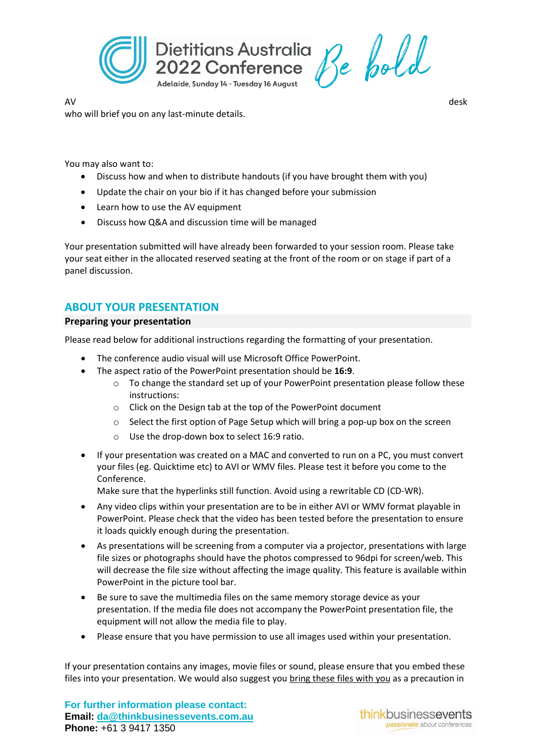

AV desk who will brief you on any last-minute details.

You may also want to:

- Discuss how and when to distribute handouts (if you have brought them with you)
- Update the chair on your bio if it has changed before your submission
- Learn how to use the AV equipment
- Discuss how Q&A and discussion time will be managed

Your presentation submitted will have already been forwarded to your session room. Please take your seat either in the allocated reserved seating at the front of the room or on stage if part of a panel discussion.

# <span id="page-2-0"></span>**ABOUT YOUR PRESENTATION**

#### **Preparing your presentation**

Please read below for additional instructions regarding the formatting of your presentation.

- The conference audio visual will use Microsoft Office PowerPoint.
- The aspect ratio of the PowerPoint presentation should be **16:9**.
	- o To change the standard set up of your PowerPoint presentation please follow these instructions:
	- o Click on the Design tab at the top of the PowerPoint document
	- $\circ$  Select the first option of Page Setup which will bring a pop-up box on the screen
	- o Use the drop-down box to select 16:9 ratio.
- If your presentation was created on a MAC and converted to run on a PC, you must convert your files (eg. Quicktime etc) to AVI or WMV files. Please test it before you come to the Conference.

Make sure that the hyperlinks still function. Avoid using a rewritable CD (CD-WR).

- Any video clips within your presentation are to be in either AVI or WMV format playable in PowerPoint. Please check that the video has been tested before the presentation to ensure it loads quickly enough during the presentation.
- As presentations will be screening from a computer via a projector, presentations with large file sizes or photographs should have the photos compressed to 96dpi for screen/web. This will decrease the file size without affecting the image quality. This feature is available within PowerPoint in the picture tool bar.
- Be sure to save the multimedia files on the same memory storage device as your presentation. If the media file does not accompany the PowerPoint presentation file, the equipment will not allow the media file to play.
- Please ensure that you have permission to use all images used within your presentation.

If your presentation contains any images, movie files or sound, please ensure that you embed these files into your presentation. We would also suggest you bring these files with you as a precaution in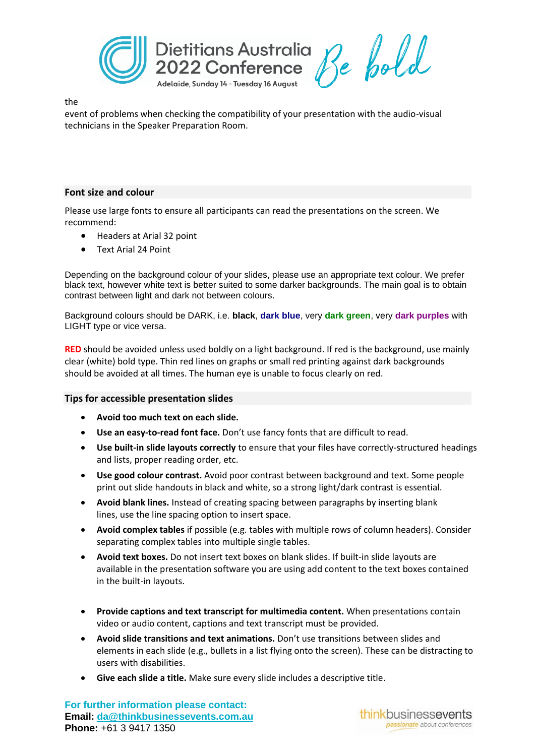

the

event of problems when checking the compatibility of your presentation with the audio-visual technicians in the Speaker Preparation Room.

#### **Font size and colour**

Please use large fonts to ensure all participants can read the presentations on the screen. We recommend:

- Headers at Arial 32 point
- Text Arial 24 Point

Depending on the background colour of your slides, please use an appropriate text colour. We prefer black text, however white text is better suited to some darker backgrounds. The main goal is to obtain contrast between light and dark not between colours.

Background colours should be DARK, i.e. **black**, **dark blue**, very **dark green**, very **dark purples** with LIGHT type or vice versa.

**RED** should be avoided unless used boldly on a light background. If red is the background, use mainly clear (white) bold type. Thin red lines on graphs or small red printing against dark backgrounds should be avoided at all times. The human eye is unable to focus clearly on red.

#### **Tips for accessible presentation slides**

- **Avoid too much text on each slide.**
- **Use an easy-to-read font face.** Don't use fancy fonts that are difficult to read.
- **Use built-in slide layouts correctly** to ensure that your files have correctly-structured headings and lists, proper reading order, etc.
- **Use good colour contrast.** Avoid poor contrast between background and text. Some people print out slide handouts in black and white, so a strong light/dark contrast is essential.
- **Avoid blank lines.** Instead of creating spacing between paragraphs by inserting blank lines, use the line spacing option to insert space.
- **Avoid complex tables** if possible (e.g. tables with multiple rows of column headers). Consider separating complex tables into multiple single tables.
- **Avoid text boxes.** Do not insert text boxes on blank slides. If built-in slide layouts are available in the presentation software you are using add content to the text boxes contained in the built-in layouts.
- **Provide captions and text transcript for multimedia content.** When presentations contain video or audio content, captions and text transcript must be provided.
- **Avoid slide transitions and text animations.** Don't use transitions between slides and elements in each slide (e.g., bullets in a list flying onto the screen). These can be distracting to users with disabilities.
- **Give each slide a title.** Make sure every slide includes a descriptive title.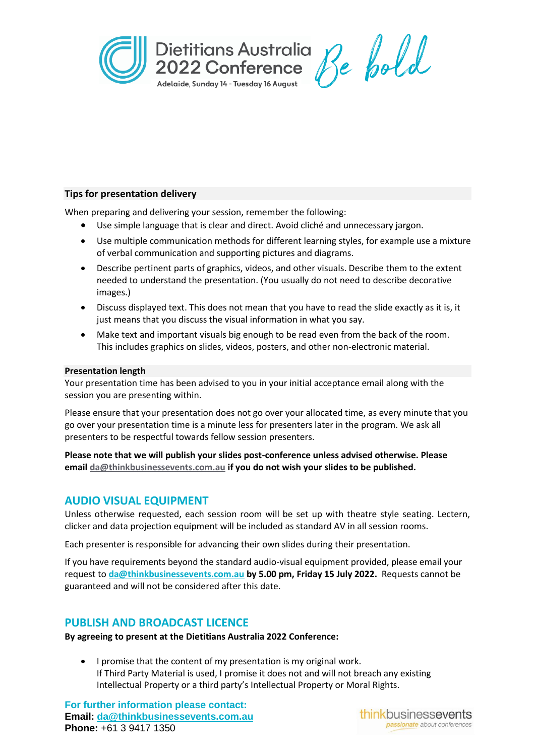

## **Tips for presentation delivery**

When preparing and delivering your session, remember the following:

- Use simple language that is clear and direct. Avoid cliché and unnecessary jargon.
- Use multiple communication methods for different learning styles, for example use a mixture of verbal communication and supporting pictures and diagrams.
- Describe pertinent parts of graphics, videos, and other visuals. Describe them to the extent needed to understand the presentation. (You usually do not need to describe decorative images.)
- Discuss displayed text. This does not mean that you have to read the slide exactly as it is, it just means that you discuss the visual information in what you say.
- Make text and important visuals big enough to be read even from the back of the room. This includes graphics on slides, videos, posters, and other non-electronic material.

#### **Presentation length**

Your presentation time has been advised to you in your initial acceptance email along with the session you are presenting within.

Please ensure that your presentation does not go over your allocated time, as every minute that you go over your presentation time is a minute less for presenters later in the program. We ask all presenters to be respectful towards fellow session presenters.

**Please note that we will publish your slides post-conference unless advised otherwise. Please email [da@thinkbusinessevents.com.au](mailto:da@thinkbusinessevents.com.au) if you do not wish your slides to be published.**

# <span id="page-4-0"></span>**AUDIO VISUAL EQUIPMENT**

Unless otherwise requested, each session room will be set up with theatre style seating. Lectern, clicker and data projection equipment will be included as standard AV in all session rooms.

Each presenter is responsible for advancing their own slides during their presentation.

If you have requirements beyond the standard audio-visual equipment provided, please email your request to **[da@thinkbusinessevents.com.au](mailto:da@thinkbusinessevents.com.au) by 5.00 pm, Friday 15 July 2022.** Requests cannot be guaranteed and will not be considered after this date.

# <span id="page-4-1"></span>**PUBLISH AND BROADCAST LICENCE**

**By agreeing to present at the Dietitians Australia 2022 Conference:**

• I promise that the content of my presentation is my original work. If Third Party Material is used, I promise it does not and will not breach any existing Intellectual Property or a third party's Intellectual Property or Moral Rights.